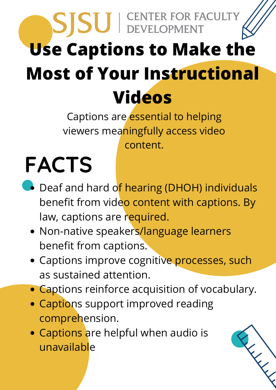## SISU | CENTER FOR FACULTY **Use Captions to Make the Most of Your Instructional Videos**

Captions are *essential to helping* viewers meaningfully access video content.

## **FACTS**

- Deaf and hard of hearing (DHOH) individuals benefit from video content with captions. By law, captions are required.
	- Non-native speakers/language learners benefit from captions.
	- Captions improve cognitive processes, such as sustained attention.
	- Captions reinforce acquisition of vocabulary.
	- Captions support improved reading comprehension.
	- Captions are helpful when audio is unavailable